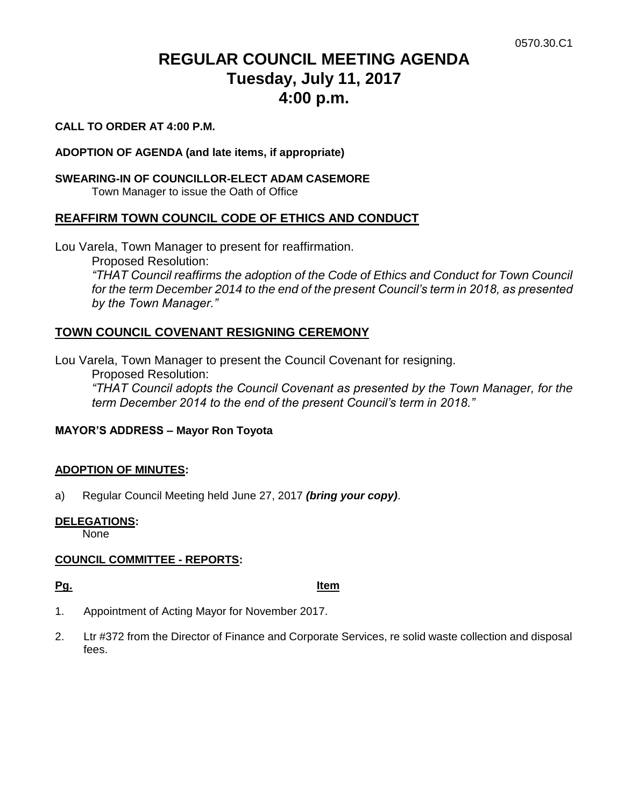# **REGULAR COUNCIL MEETING AGENDA Tuesday, July 11, 2017 4:00 p.m.**

#### **CALL TO ORDER AT 4:00 P.M.**

#### **ADOPTION OF AGENDA (and late items, if appropriate)**

#### **SWEARING-IN OF COUNCILLOR-ELECT ADAM CASEMORE**

Town Manager to issue the Oath of Office

### **REAFFIRM TOWN COUNCIL CODE OF ETHICS AND CONDUCT**

Lou Varela, Town Manager to present for reaffirmation.

Proposed Resolution:

*"THAT Council reaffirms the adoption of the Code of Ethics and Conduct for Town Council for the term December 2014 to the end of the present Council's term in 2018, as presented by the Town Manager."*

## **TOWN COUNCIL COVENANT RESIGNING CEREMONY**

Lou Varela, Town Manager to present the Council Covenant for resigning. Proposed Resolution: *"THAT Council adopts the Council Covenant as presented by the Town Manager, for the term December 2014 to the end of the present Council's term in 2018."*

#### **MAYOR'S ADDRESS – Mayor Ron Toyota**

#### **ADOPTION OF MINUTES:**

a) Regular Council Meeting held June 27, 2017 *(bring your copy)*.

#### **DELEGATIONS:**

None

#### **COUNCIL COMMITTEE - REPORTS:**

**Pg. Item**

- 1. Appointment of Acting Mayor for November 2017.
- 2. Ltr #372 from the Director of Finance and Corporate Services, re solid waste collection and disposal fees.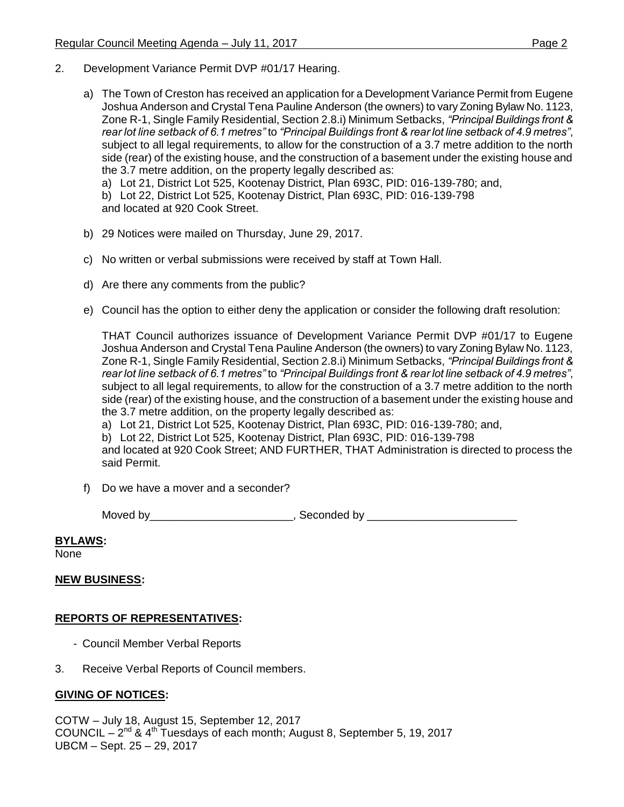- 2. Development Variance Permit DVP #01/17 Hearing.
	- a) The Town of Creston has received an application for a Development Variance Permit from Eugene Joshua Anderson and Crystal Tena Pauline Anderson (the owners) to vary Zoning Bylaw No. 1123, Zone R-1, Single Family Residential, Section 2.8.i) Minimum Setbacks, *"Principal Buildings front & rear lot line setback of 6.1 metres"* to *"Principal Buildings front & rear lot line setback of 4.9 metres"*, subject to all legal requirements, to allow for the construction of a 3.7 metre addition to the north side (rear) of the existing house, and the construction of a basement under the existing house and the 3.7 metre addition, on the property legally described as:

a) Lot 21, District Lot 525, Kootenay District, Plan 693C, PID: 016-139-780; and,

b) Lot 22, District Lot 525, Kootenay District, Plan 693C, PID: 016-139-798

and located at 920 Cook Street.

- b) 29 Notices were mailed on Thursday, June 29, 2017.
- c) No written or verbal submissions were received by staff at Town Hall.
- d) Are there any comments from the public?
- e) Council has the option to either deny the application or consider the following draft resolution:

THAT Council authorizes issuance of Development Variance Permit DVP #01/17 to Eugene Joshua Anderson and Crystal Tena Pauline Anderson (the owners) to vary Zoning Bylaw No. 1123, Zone R-1, Single Family Residential, Section 2.8.i) Minimum Setbacks, *"Principal Buildings front & rear lot line setback of 6.1 metres"* to *"Principal Buildings front & rear lot line setback of 4.9 metres"*, subject to all legal requirements, to allow for the construction of a 3.7 metre addition to the north side (rear) of the existing house, and the construction of a basement under the existing house and the 3.7 metre addition, on the property legally described as:

a) Lot 21, District Lot 525, Kootenay District, Plan 693C, PID: 016-139-780; and,

b) Lot 22, District Lot 525, Kootenay District, Plan 693C, PID: 016-139-798

and located at 920 Cook Street; AND FURTHER, THAT Administration is directed to process the said Permit.

f) Do we have a mover and a seconder?

Moved by\_\_\_\_\_\_\_\_\_\_\_\_\_\_\_\_\_\_\_\_\_\_\_\_\_\_, Seconded by \_\_\_\_\_\_\_\_\_\_\_\_\_\_\_\_\_\_\_\_\_\_\_\_\_\_\_\_\_\_\_\_

#### **BYLAWS:**

None

#### **NEW BUSINESS:**

#### **REPORTS OF REPRESENTATIVES:**

- Council Member Verbal Reports
- 3. Receive Verbal Reports of Council members.

#### **GIVING OF NOTICES:**

COTW – July 18, August 15, September 12, 2017 COUNCIL  $-2^{nd}$  & 4<sup>th</sup> Tuesdays of each month; August 8, September 5, 19, 2017 UBCM – Sept. 25 – 29, 2017